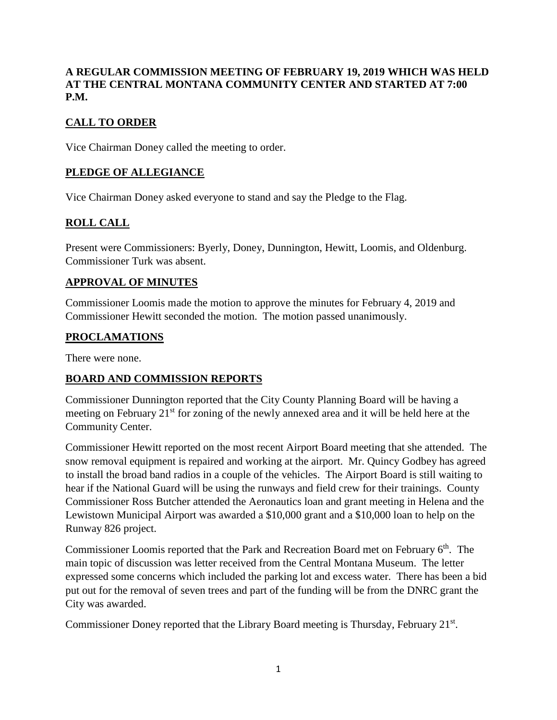## **A REGULAR COMMISSION MEETING OF FEBRUARY 19, 2019 WHICH WAS HELD AT THE CENTRAL MONTANA COMMUNITY CENTER AND STARTED AT 7:00 P.M.**

## **CALL TO ORDER**

Vice Chairman Doney called the meeting to order.

## **PLEDGE OF ALLEGIANCE**

Vice Chairman Doney asked everyone to stand and say the Pledge to the Flag.

## **ROLL CALL**

Present were Commissioners: Byerly, Doney, Dunnington, Hewitt, Loomis, and Oldenburg. Commissioner Turk was absent.

### **APPROVAL OF MINUTES**

Commissioner Loomis made the motion to approve the minutes for February 4, 2019 and Commissioner Hewitt seconded the motion. The motion passed unanimously.

### **PROCLAMATIONS**

There were none.

## **BOARD AND COMMISSION REPORTS**

Commissioner Dunnington reported that the City County Planning Board will be having a meeting on February 21<sup>st</sup> for zoning of the newly annexed area and it will be held here at the Community Center.

Commissioner Hewitt reported on the most recent Airport Board meeting that she attended. The snow removal equipment is repaired and working at the airport. Mr. Quincy Godbey has agreed to install the broad band radios in a couple of the vehicles. The Airport Board is still waiting to hear if the National Guard will be using the runways and field crew for their trainings. County Commissioner Ross Butcher attended the Aeronautics loan and grant meeting in Helena and the Lewistown Municipal Airport was awarded a \$10,000 grant and a \$10,000 loan to help on the Runway 826 project.

Commissioner Loomis reported that the Park and Recreation Board met on February 6<sup>th</sup>. The main topic of discussion was letter received from the Central Montana Museum. The letter expressed some concerns which included the parking lot and excess water. There has been a bid put out for the removal of seven trees and part of the funding will be from the DNRC grant the City was awarded.

Commissioner Doney reported that the Library Board meeting is Thursday, February  $21<sup>st</sup>$ .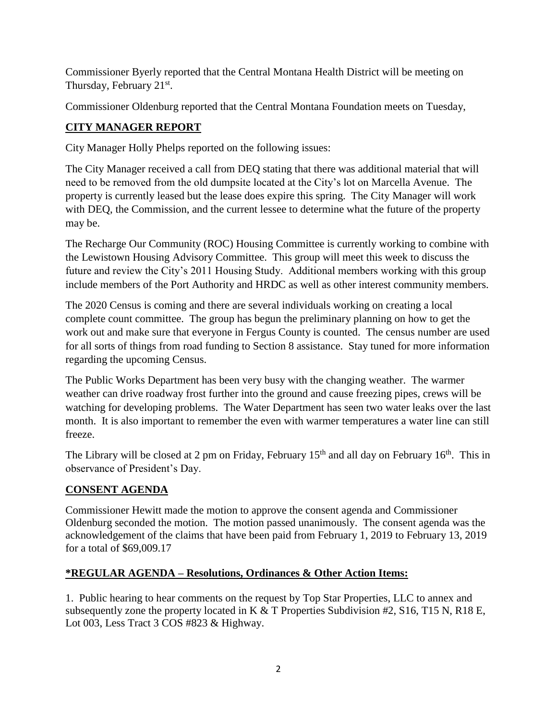Commissioner Byerly reported that the Central Montana Health District will be meeting on Thursday, February 21<sup>st</sup>.

Commissioner Oldenburg reported that the Central Montana Foundation meets on Tuesday,

# **CITY MANAGER REPORT**

City Manager Holly Phelps reported on the following issues:

The City Manager received a call from DEQ stating that there was additional material that will need to be removed from the old dumpsite located at the City's lot on Marcella Avenue. The property is currently leased but the lease does expire this spring. The City Manager will work with DEQ, the Commission, and the current lessee to determine what the future of the property may be.

The Recharge Our Community (ROC) Housing Committee is currently working to combine with the Lewistown Housing Advisory Committee. This group will meet this week to discuss the future and review the City's 2011 Housing Study. Additional members working with this group include members of the Port Authority and HRDC as well as other interest community members.

The 2020 Census is coming and there are several individuals working on creating a local complete count committee. The group has begun the preliminary planning on how to get the work out and make sure that everyone in Fergus County is counted. The census number are used for all sorts of things from road funding to Section 8 assistance. Stay tuned for more information regarding the upcoming Census.

The Public Works Department has been very busy with the changing weather. The warmer weather can drive roadway frost further into the ground and cause freezing pipes, crews will be watching for developing problems. The Water Department has seen two water leaks over the last month. It is also important to remember the even with warmer temperatures a water line can still freeze.

The Library will be closed at 2 pm on Friday, February  $15<sup>th</sup>$  and all day on February  $16<sup>th</sup>$ . This in observance of President's Day.

# **CONSENT AGENDA**

Commissioner Hewitt made the motion to approve the consent agenda and Commissioner Oldenburg seconded the motion. The motion passed unanimously. The consent agenda was the acknowledgement of the claims that have been paid from February 1, 2019 to February 13, 2019 for a total of \$69,009.17

# **\*REGULAR AGENDA – Resolutions, Ordinances & Other Action Items:**

1. Public hearing to hear comments on the request by Top Star Properties, LLC to annex and subsequently zone the property located in K & T Properties Subdivision #2, S16, T15 N, R18 E, Lot 003, Less Tract 3 COS #823 & Highway.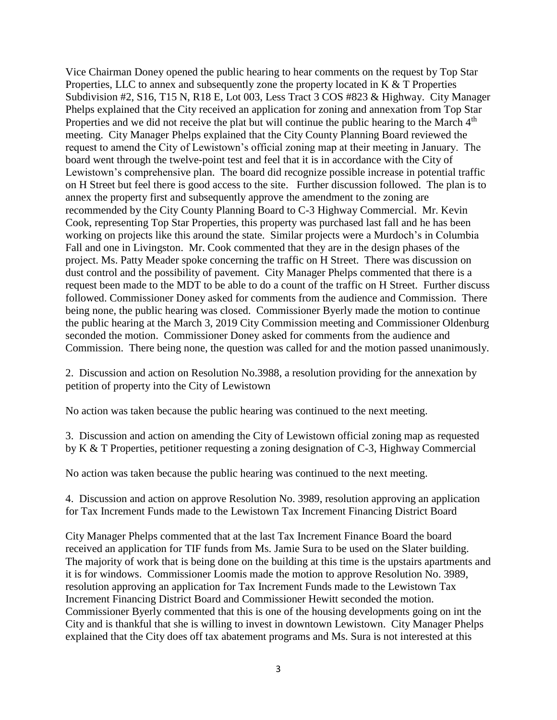Vice Chairman Doney opened the public hearing to hear comments on the request by Top Star Properties, LLC to annex and subsequently zone the property located in K & T Properties Subdivision #2, S16, T15 N, R18 E, Lot 003, Less Tract 3 COS #823 & Highway. City Manager Phelps explained that the City received an application for zoning and annexation from Top Star Properties and we did not receive the plat but will continue the public hearing to the March 4<sup>th</sup> meeting. City Manager Phelps explained that the City County Planning Board reviewed the request to amend the City of Lewistown's official zoning map at their meeting in January. The board went through the twelve-point test and feel that it is in accordance with the City of Lewistown's comprehensive plan. The board did recognize possible increase in potential traffic on H Street but feel there is good access to the site. Further discussion followed. The plan is to annex the property first and subsequently approve the amendment to the zoning are recommended by the City County Planning Board to C-3 Highway Commercial. Mr. Kevin Cook, representing Top Star Properties, this property was purchased last fall and he has been working on projects like this around the state. Similar projects were a Murdoch's in Columbia Fall and one in Livingston. Mr. Cook commented that they are in the design phases of the project. Ms. Patty Meader spoke concerning the traffic on H Street. There was discussion on dust control and the possibility of pavement. City Manager Phelps commented that there is a request been made to the MDT to be able to do a count of the traffic on H Street. Further discuss followed. Commissioner Doney asked for comments from the audience and Commission. There being none, the public hearing was closed. Commissioner Byerly made the motion to continue the public hearing at the March 3, 2019 City Commission meeting and Commissioner Oldenburg seconded the motion. Commissioner Doney asked for comments from the audience and Commission. There being none, the question was called for and the motion passed unanimously.

2. Discussion and action on Resolution No.3988, a resolution providing for the annexation by petition of property into the City of Lewistown

No action was taken because the public hearing was continued to the next meeting.

3. Discussion and action on amending the City of Lewistown official zoning map as requested by K & T Properties, petitioner requesting a zoning designation of C-3, Highway Commercial

No action was taken because the public hearing was continued to the next meeting.

4. Discussion and action on approve Resolution No. 3989, resolution approving an application for Tax Increment Funds made to the Lewistown Tax Increment Financing District Board

City Manager Phelps commented that at the last Tax Increment Finance Board the board received an application for TIF funds from Ms. Jamie Sura to be used on the Slater building. The majority of work that is being done on the building at this time is the upstairs apartments and it is for windows. Commissioner Loomis made the motion to approve Resolution No. 3989, resolution approving an application for Tax Increment Funds made to the Lewistown Tax Increment Financing District Board and Commissioner Hewitt seconded the motion. Commissioner Byerly commented that this is one of the housing developments going on int the City and is thankful that she is willing to invest in downtown Lewistown. City Manager Phelps explained that the City does off tax abatement programs and Ms. Sura is not interested at this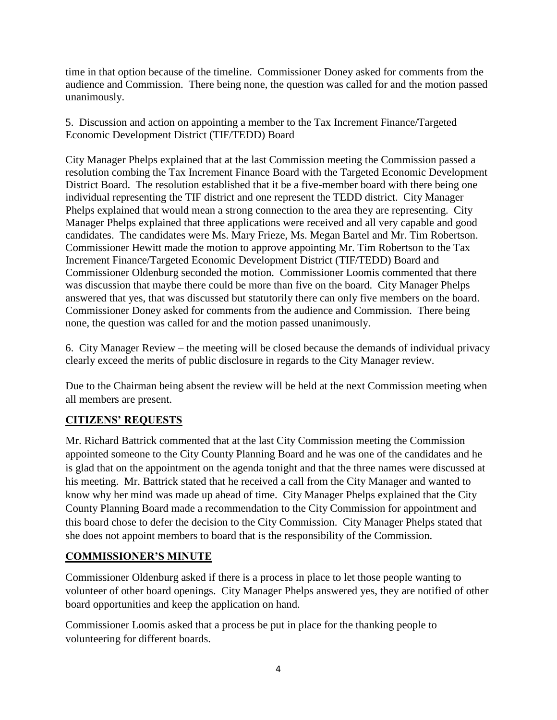time in that option because of the timeline. Commissioner Doney asked for comments from the audience and Commission. There being none, the question was called for and the motion passed unanimously.

5. Discussion and action on appointing a member to the Tax Increment Finance/Targeted Economic Development District (TIF/TEDD) Board

City Manager Phelps explained that at the last Commission meeting the Commission passed a resolution combing the Tax Increment Finance Board with the Targeted Economic Development District Board. The resolution established that it be a five-member board with there being one individual representing the TIF district and one represent the TEDD district. City Manager Phelps explained that would mean a strong connection to the area they are representing. City Manager Phelps explained that three applications were received and all very capable and good candidates. The candidates were Ms. Mary Frieze, Ms. Megan Bartel and Mr. Tim Robertson. Commissioner Hewitt made the motion to approve appointing Mr. Tim Robertson to the Tax Increment Finance/Targeted Economic Development District (TIF/TEDD) Board and Commissioner Oldenburg seconded the motion. Commissioner Loomis commented that there was discussion that maybe there could be more than five on the board. City Manager Phelps answered that yes, that was discussed but statutorily there can only five members on the board. Commissioner Doney asked for comments from the audience and Commission. There being none, the question was called for and the motion passed unanimously.

6. City Manager Review – the meeting will be closed because the demands of individual privacy clearly exceed the merits of public disclosure in regards to the City Manager review.

Due to the Chairman being absent the review will be held at the next Commission meeting when all members are present.

## **CITIZENS' REQUESTS**

Mr. Richard Battrick commented that at the last City Commission meeting the Commission appointed someone to the City County Planning Board and he was one of the candidates and he is glad that on the appointment on the agenda tonight and that the three names were discussed at his meeting. Mr. Battrick stated that he received a call from the City Manager and wanted to know why her mind was made up ahead of time. City Manager Phelps explained that the City County Planning Board made a recommendation to the City Commission for appointment and this board chose to defer the decision to the City Commission. City Manager Phelps stated that she does not appoint members to board that is the responsibility of the Commission.

## **COMMISSIONER'S MINUTE**

Commissioner Oldenburg asked if there is a process in place to let those people wanting to volunteer of other board openings. City Manager Phelps answered yes, they are notified of other board opportunities and keep the application on hand.

Commissioner Loomis asked that a process be put in place for the thanking people to volunteering for different boards.